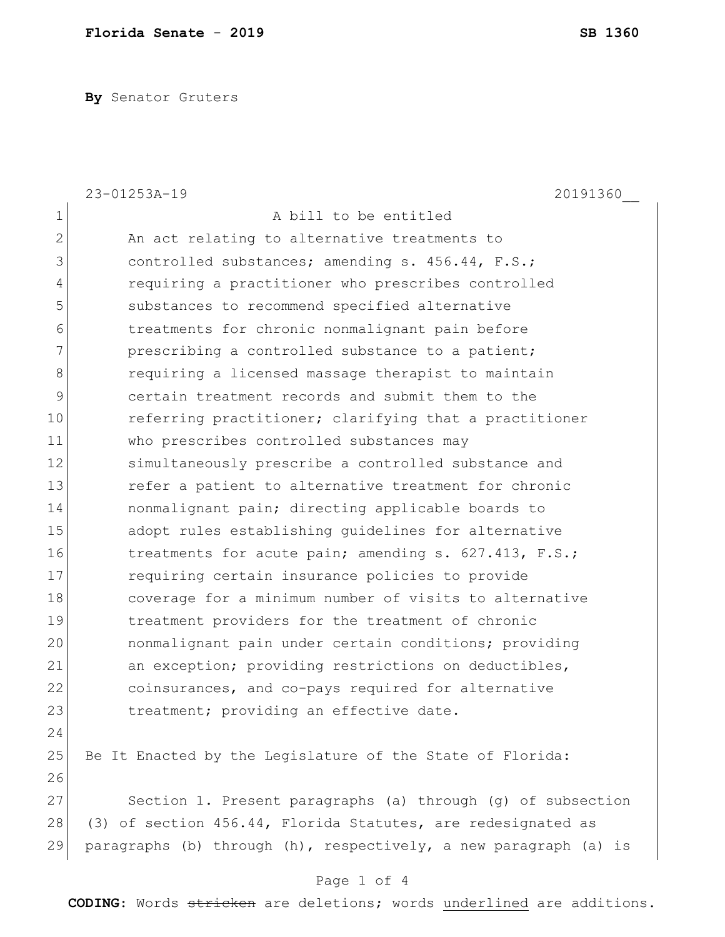**By** Senator Gruters

|              | 23-01253A-19<br>20191360                                         |
|--------------|------------------------------------------------------------------|
| 1            | A bill to be entitled                                            |
| $\mathbf{2}$ | An act relating to alternative treatments to                     |
| 3            | controlled substances; amending s. 456.44, F.S.;                 |
| 4            | requiring a practitioner who prescribes controlled               |
| 5            | substances to recommend specified alternative                    |
| 6            | treatments for chronic nonmalignant pain before                  |
| 7            | prescribing a controlled substance to a patient;                 |
| 8            | requiring a licensed massage therapist to maintain               |
| 9            | certain treatment records and submit them to the                 |
| 10           | referring practitioner; clarifying that a practitioner           |
| 11           | who prescribes controlled substances may                         |
| 12           | simultaneously prescribe a controlled substance and              |
| 13           | refer a patient to alternative treatment for chronic             |
| 14           | nonmalignant pain; directing applicable boards to                |
| 15           | adopt rules establishing quidelines for alternative              |
| 16           | treatments for acute pain; amending s. 627.413, F.S.;            |
| 17           | requiring certain insurance policies to provide                  |
| 18           | coverage for a minimum number of visits to alternative           |
| 19           | treatment providers for the treatment of chronic                 |
| 20           | nonmalignant pain under certain conditions; providing            |
| 21           | an exception; providing restrictions on deductibles,             |
| 22           | coinsurances, and co-pays required for alternative               |
| 23           | treatment; providing an effective date.                          |
| 24           |                                                                  |
| 25           | Be It Enacted by the Legislature of the State of Florida:        |
| 26           |                                                                  |
| 27           | Section 1. Present paragraphs (a) through (g) of subsection      |
| 28           | (3) of section 456.44, Florida Statutes, are redesignated as     |
| 29           | paragraphs (b) through (h), respectively, a new paragraph (a) is |
|              |                                                                  |

## Page 1 of 4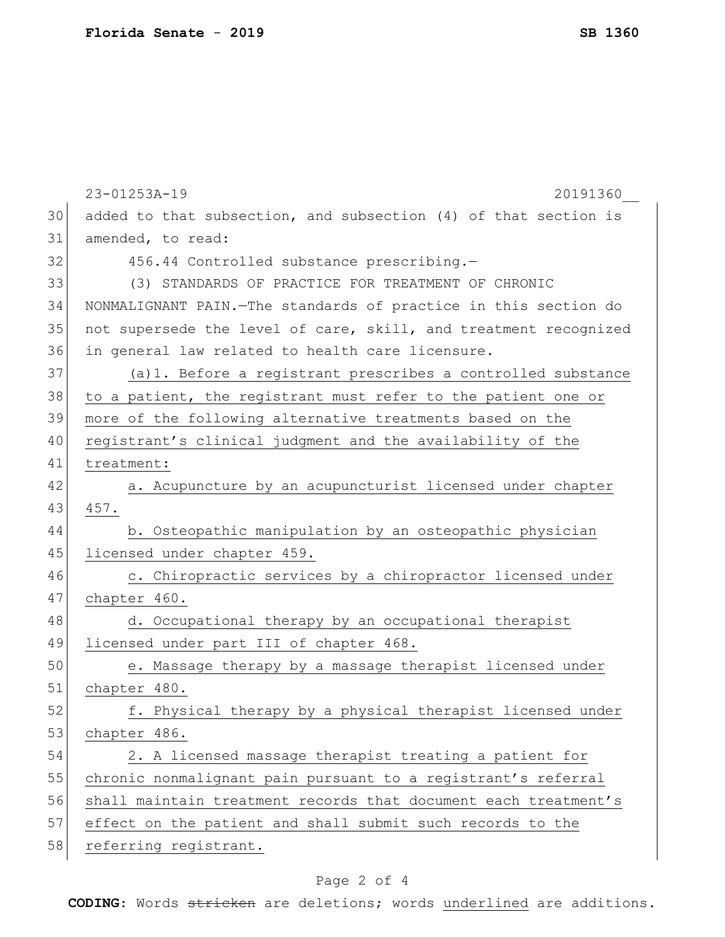|    | 23-01253A-19<br>20191360                                          |
|----|-------------------------------------------------------------------|
| 30 | added to that subsection, and subsection (4) of that section is   |
| 31 | amended, to read:                                                 |
| 32 | 456.44 Controlled substance prescribing.-                         |
| 33 | (3) STANDARDS OF PRACTICE FOR TREATMENT OF CHRONIC                |
| 34 | NONMALIGNANT PAIN. - The standards of practice in this section do |
| 35 | not supersede the level of care, skill, and treatment recognized  |
| 36 | in general law related to health care licensure.                  |
| 37 | (a) 1. Before a registrant prescribes a controlled substance      |
| 38 | to a patient, the registrant must refer to the patient one or     |
| 39 | more of the following alternative treatments based on the         |
| 40 | registrant's clinical judgment and the availability of the        |
| 41 | treatment:                                                        |
| 42 | a. Acupuncture by an acupuncturist licensed under chapter         |
| 43 | 457.                                                              |
| 44 | b. Osteopathic manipulation by an osteopathic physician           |
| 45 | licensed under chapter 459.                                       |
| 46 | c. Chiropractic services by a chiropractor licensed under         |
| 47 | chapter 460.                                                      |
| 48 | d. Occupational therapy by an occupational therapist              |
| 49 | licensed under part III of chapter 468.                           |
| 50 | e. Massage therapy by a massage therapist licensed under          |
| 51 | chapter 480.                                                      |
| 52 | f. Physical therapy by a physical therapist licensed under        |
| 53 | chapter 486.                                                      |
| 54 | 2. A licensed massage therapist treating a patient for            |
| 55 | chronic nonmalignant pain pursuant to a registrant's referral     |
| 56 | shall maintain treatment records that document each treatment's   |
| 57 | effect on the patient and shall submit such records to the        |
| 58 | referring registrant.                                             |
|    |                                                                   |

## Page 2 of 4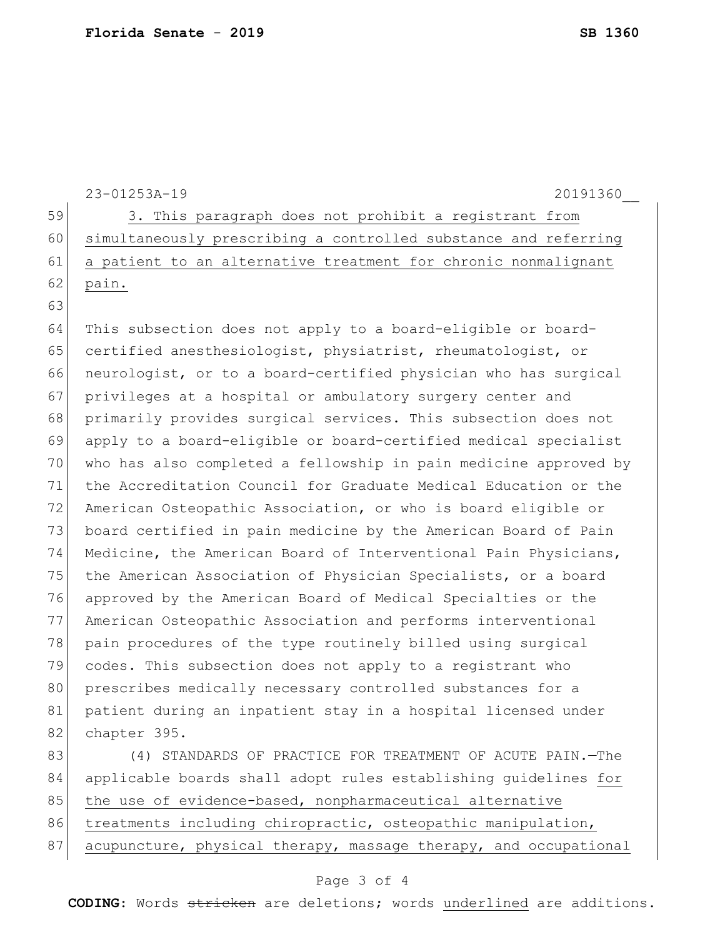|    | 23-01253A-19<br>20191360                                         |
|----|------------------------------------------------------------------|
| 59 | 3. This paragraph does not prohibit a registrant from            |
| 60 | simultaneously prescribing a controlled substance and referring  |
| 61 | a patient to an alternative treatment for chronic nonmalignant   |
| 62 | pain.                                                            |
| 63 |                                                                  |
| 64 | This subsection does not apply to a board-eligible or board-     |
| 65 | certified anesthesiologist, physiatrist, rheumatologist, or      |
| 66 | neurologist, or to a board-certified physician who has surgical  |
| 67 | privileges at a hospital or ambulatory surgery center and        |
| 68 | primarily provides surgical services. This subsection does not   |
| 69 | apply to a board-eligible or board-certified medical specialist  |
| 70 | who has also completed a fellowship in pain medicine approved by |
| 71 | the Accreditation Council for Graduate Medical Education or the  |
| 72 | American Osteopathic Association, or who is board eligible or    |
| 73 | board certified in pain medicine by the American Board of Pain   |
| 74 | Medicine, the American Board of Interventional Pain Physicians,  |
| 75 | the American Association of Physician Specialists, or a board    |
| 76 | approved by the American Board of Medical Specialties or the     |
| 77 | American Osteopathic Association and performs interventional     |
| 78 | pain procedures of the type routinely billed using surgical      |
| 79 | codes. This subsection does not apply to a registrant who        |
| 80 | prescribes medically necessary controlled substances for a       |
| 81 | patient during an inpatient stay in a hospital licensed under    |
| 82 | chapter 395.                                                     |
| 83 | (4) STANDARDS OF PRACTICE FOR TREATMENT OF ACUTE PAIN.-The       |
| 84 | applicable boards shall adopt rules establishing quidelines for  |
| 85 | the use of evidence-based, nonpharmaceutical alternative         |
| 86 | treatments including chiropractic, osteopathic manipulation,     |
| 87 | acupuncture, physical therapy, massage therapy, and occupational |

## Page 3 of 4